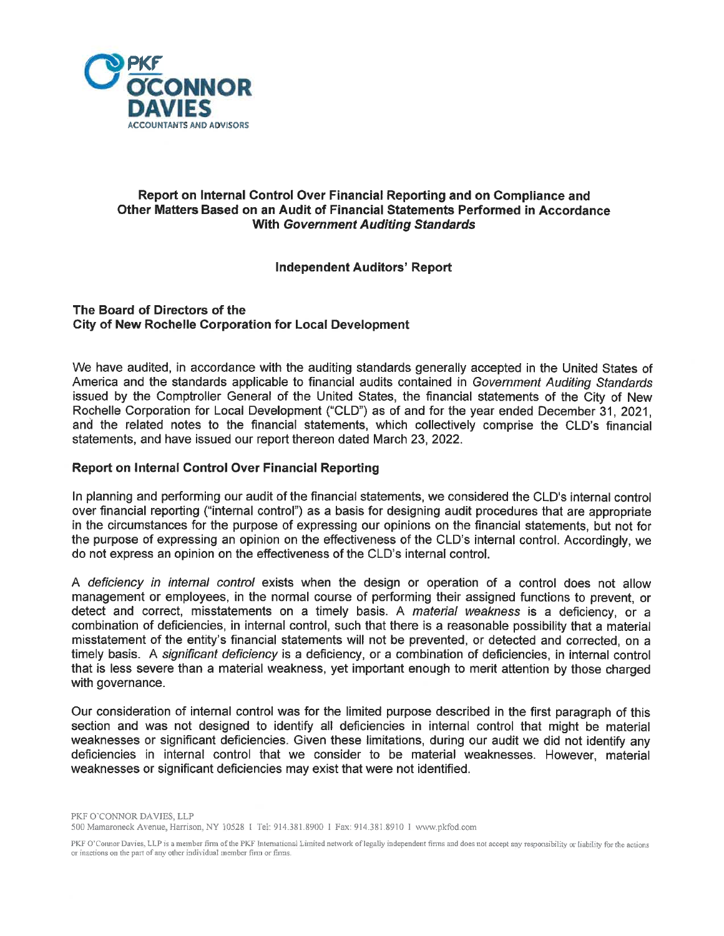

# Report on Internal Control Over Financial Reporting and on Compliance and Other Matters Based on an Audit of Financial Statements Performed in Accordance With Government Auditing Standards

# Independent Auditors' Report

### The Board of Directors of the City of New Rochelle Corporation for Local Development

We have audited, in accordance with the auditing standards generally accepted in the United States of America and the standards applicable to financial audits contained in Government Auditing Standards issued by the Comptroller General of the United States, the financial statements of the City of New Rochelle Corporation for Local Development ("CLD") as of and for the year ended December 31, 2021, and the related notes to the financial statements, which collectively comprise the CLD's financial statements, and have issued our report thereon dated March 23, 2022.

## Report on Internal Control Over Financial Reporting

In planning and performing our audit of the financial statements, we considered the CLD's internal control over financial reporting ("internal control") as a basis for designing audit procedures that are appropriate in the circumstances for the purpose of expressing our opinions on the financial statements, but not for the purpose of expressing an opinion on the effectiveness of the CLD's internal control. Accordingly, we do not express an opinion on the effectiveness of the CLD's internal control.

A deficiency in internal control exists when the design or operation of a control does not allow management or employees, in the normal course of performing their assigned functions to prevent, or detect and correct, misstatements on a timely basis. A *material weakness* is a deficiency, or a combination of deficiencies, in internal control, such that there is a reasonable possibility that a material misstatement of the entity's financial statements will not be prevented, or detected and corrected, on a timely basis. A significant deficiency is a deficiency, or a combination of deficiencies, in internal control that is less severe than a material weakness, yet important enough to merit attention by those charged with governance.

Our consideration of internal control was for the limited purpose described in the first paragraph of this section and was not designed to identify all deficiencies in internal control that might be material weaknesses or significant deficiencies. Given these limitations, during our audit we did not identify any deficiencies in internal control that we consider to be material weaknesses. However, material weaknesses or significant deficiencies may exist that were not identified.

<sup>500</sup> Mamaroneck Avenue, Harrison, NY 10528 I Tel: 914.381.8900 I Fax: 914.381.8910 I www.pkfod.com

PKF O'Coinor Davies, LLP is a member firm of the PKF International Limited network of legally independent firms and does not accept any responsibility or liability for the actions or inactions on the part of any other individual member firm or firms.